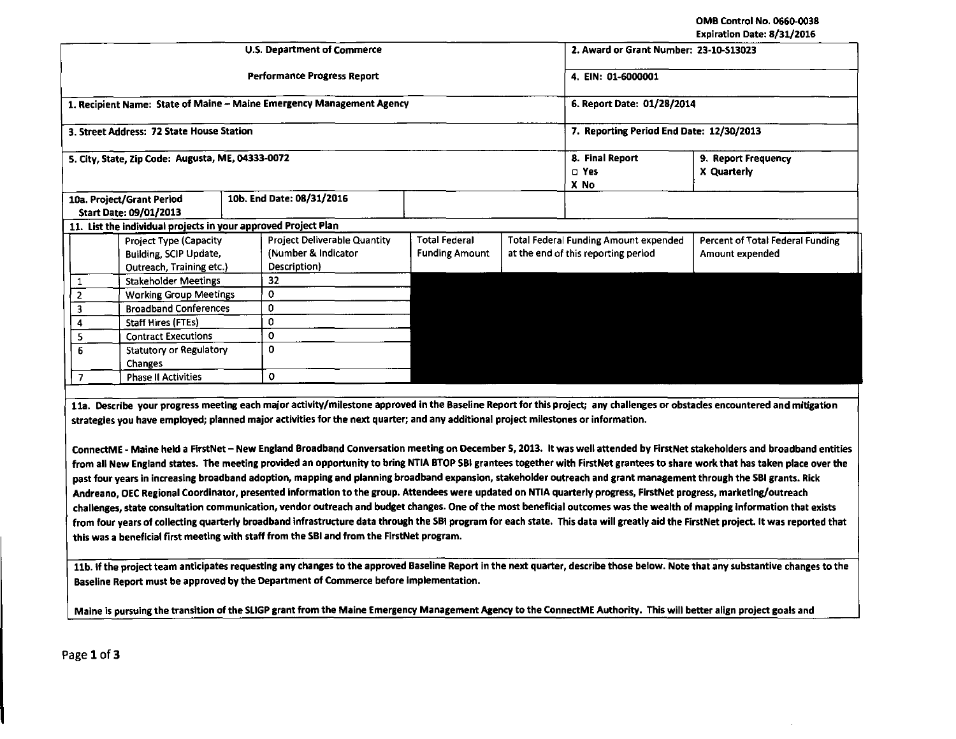OMB Control No. 0660-0038 Expiration Date: 8/31/2016

|                                                                |                                                                                                                                                                                                                                                                                                                                                                                                                                                                                                                                                                                                                                                                                                                                                                                                                                                                                                                                                                                                                                                                                                                                                                    |                                                                                     |  |                                                                            |                                               |                                          |                                                                                     | LADII BUOILDGUG. DI JII EUIU                        |  |  |  |
|----------------------------------------------------------------|--------------------------------------------------------------------------------------------------------------------------------------------------------------------------------------------------------------------------------------------------------------------------------------------------------------------------------------------------------------------------------------------------------------------------------------------------------------------------------------------------------------------------------------------------------------------------------------------------------------------------------------------------------------------------------------------------------------------------------------------------------------------------------------------------------------------------------------------------------------------------------------------------------------------------------------------------------------------------------------------------------------------------------------------------------------------------------------------------------------------------------------------------------------------|-------------------------------------------------------------------------------------|--|----------------------------------------------------------------------------|-----------------------------------------------|------------------------------------------|-------------------------------------------------------------------------------------|-----------------------------------------------------|--|--|--|
|                                                                |                                                                                                                                                                                                                                                                                                                                                                                                                                                                                                                                                                                                                                                                                                                                                                                                                                                                                                                                                                                                                                                                                                                                                                    |                                                                                     |  | U.S. Department of Commerce                                                | 2. Award or Grant Number: 23-10-513023        |                                          |                                                                                     |                                                     |  |  |  |
|                                                                |                                                                                                                                                                                                                                                                                                                                                                                                                                                                                                                                                                                                                                                                                                                                                                                                                                                                                                                                                                                                                                                                                                                                                                    |                                                                                     |  | <b>Performance Progress Report</b>                                         | 4. EIN: 01-6000001                            |                                          |                                                                                     |                                                     |  |  |  |
|                                                                |                                                                                                                                                                                                                                                                                                                                                                                                                                                                                                                                                                                                                                                                                                                                                                                                                                                                                                                                                                                                                                                                                                                                                                    |                                                                                     |  | 1. Recipient Name: State of Maine - Maine Emergency Management Agency      |                                               | 6. Report Date: 01/28/2014               |                                                                                     |                                                     |  |  |  |
|                                                                |                                                                                                                                                                                                                                                                                                                                                                                                                                                                                                                                                                                                                                                                                                                                                                                                                                                                                                                                                                                                                                                                                                                                                                    | 3. Street Address: 72 State House Station                                           |  |                                                                            |                                               | 7. Reporting Period End Date: 12/30/2013 |                                                                                     |                                                     |  |  |  |
|                                                                |                                                                                                                                                                                                                                                                                                                                                                                                                                                                                                                                                                                                                                                                                                                                                                                                                                                                                                                                                                                                                                                                                                                                                                    | 5. City, State, Zip Code: Augusta, ME, 04333-0072                                   |  |                                                                            |                                               | 8. Final Report<br>$\square$ Yes<br>X No | 9. Report Frequency<br>X Quarterly                                                  |                                                     |  |  |  |
| 10a. Project/Grant Period<br>Start Date: 09/01/2013            |                                                                                                                                                                                                                                                                                                                                                                                                                                                                                                                                                                                                                                                                                                                                                                                                                                                                                                                                                                                                                                                                                                                                                                    |                                                                                     |  | 10b. End Date: 08/31/2016                                                  |                                               |                                          |                                                                                     |                                                     |  |  |  |
| 11. List the individual projects in your approved Project Plan |                                                                                                                                                                                                                                                                                                                                                                                                                                                                                                                                                                                                                                                                                                                                                                                                                                                                                                                                                                                                                                                                                                                                                                    |                                                                                     |  |                                                                            |                                               |                                          |                                                                                     |                                                     |  |  |  |
|                                                                |                                                                                                                                                                                                                                                                                                                                                                                                                                                                                                                                                                                                                                                                                                                                                                                                                                                                                                                                                                                                                                                                                                                                                                    | <b>Project Type (Capacity</b><br>Building, SCIP Update,<br>Outreach, Training etc.) |  | <b>Project Deliverable Quantity</b><br>(Number & Indicator<br>Description) | <b>Total Federal</b><br><b>Funding Amount</b> |                                          | <b>Total Federal Funding Amount expended</b><br>at the end of this reporting period | Percent of Total Federal Funding<br>Amount expended |  |  |  |
|                                                                | $\mathbf{1}$                                                                                                                                                                                                                                                                                                                                                                                                                                                                                                                                                                                                                                                                                                                                                                                                                                                                                                                                                                                                                                                                                                                                                       | <b>Stakeholder Meetings</b>                                                         |  | 32                                                                         |                                               |                                          |                                                                                     |                                                     |  |  |  |
|                                                                | $\overline{2}$                                                                                                                                                                                                                                                                                                                                                                                                                                                                                                                                                                                                                                                                                                                                                                                                                                                                                                                                                                                                                                                                                                                                                     | <b>Working Group Meetings</b>                                                       |  | $\mathbf 0$                                                                |                                               |                                          |                                                                                     |                                                     |  |  |  |
|                                                                | 3                                                                                                                                                                                                                                                                                                                                                                                                                                                                                                                                                                                                                                                                                                                                                                                                                                                                                                                                                                                                                                                                                                                                                                  | <b>Broadband Conferences</b>                                                        |  | 0                                                                          |                                               |                                          |                                                                                     |                                                     |  |  |  |
|                                                                | 4                                                                                                                                                                                                                                                                                                                                                                                                                                                                                                                                                                                                                                                                                                                                                                                                                                                                                                                                                                                                                                                                                                                                                                  | <b>Staff Hires (FTEs)</b>                                                           |  | $\mathbf{0}$                                                               |                                               |                                          |                                                                                     |                                                     |  |  |  |
|                                                                | 5                                                                                                                                                                                                                                                                                                                                                                                                                                                                                                                                                                                                                                                                                                                                                                                                                                                                                                                                                                                                                                                                                                                                                                  | <b>Contract Executions</b>                                                          |  | $\mathbf 0$                                                                |                                               |                                          |                                                                                     |                                                     |  |  |  |
|                                                                | 6                                                                                                                                                                                                                                                                                                                                                                                                                                                                                                                                                                                                                                                                                                                                                                                                                                                                                                                                                                                                                                                                                                                                                                  | Statutory or Regulatory<br>Changes                                                  |  | $\Omega$                                                                   |                                               |                                          |                                                                                     |                                                     |  |  |  |
|                                                                | $\overline{1}$                                                                                                                                                                                                                                                                                                                                                                                                                                                                                                                                                                                                                                                                                                                                                                                                                                                                                                                                                                                                                                                                                                                                                     | <b>Phase II Activities</b>                                                          |  | $\mathbf 0$                                                                |                                               |                                          |                                                                                     |                                                     |  |  |  |
|                                                                |                                                                                                                                                                                                                                                                                                                                                                                                                                                                                                                                                                                                                                                                                                                                                                                                                                                                                                                                                                                                                                                                                                                                                                    |                                                                                     |  |                                                                            |                                               |                                          |                                                                                     |                                                     |  |  |  |
|                                                                | 11a. Describe your progress meeting each major activity/milestone approved in the Baseline Report for this project; any challenges or obstacles encountered and mitigation<br>strategies you have employed; planned major activities for the next quarter; and any additional project milestones or information.                                                                                                                                                                                                                                                                                                                                                                                                                                                                                                                                                                                                                                                                                                                                                                                                                                                   |                                                                                     |  |                                                                            |                                               |                                          |                                                                                     |                                                     |  |  |  |
|                                                                | ConnectME - Maine held a FirstNet - New England Broadband Conversation meeting on December 5, 2013. It was well attended by FirstNet stakeholders and broadband entities<br>from all New England states. The meeting provided an opportunity to bring NTIA BTOP SBI grantees together with FirstNet grantees to share work that has taken place over the<br>past four years in increasing broadband adoption, mapping and planning broadband expansion, stakeholder outreach and grant management through the SBI grants. Rick<br>Andreano, OEC Regional Coordinator, presented information to the group. Attendees were updated on NTIA quarterly progress, FirstNet progress, marketing/outreach<br>challenges, state consultation communication, vendor outreach and budget changes. One of the most beneficial outcomes was the wealth of mapping information that exists<br>from four years of collecting quarterly broadband infrastructure data through the SBI program for each state. This data will greatly aid the FirstNet project. It was reported that<br>this was a beneficial first meeting with staff from the SBI and from the FirstNet program. |                                                                                     |  |                                                                            |                                               |                                          |                                                                                     |                                                     |  |  |  |

11b. If the project team anticipates requesting any changes to the approved Baseline Report in the next quarter, describe those below. Note that any substantive changes to the Baseline Report must be approved by the Department of Commerce before implementation.

Maine is pursuing the transition of the SLIGP grant from the Maine Emergency Management Agency to the ConnectME Authority. This will better align project goals and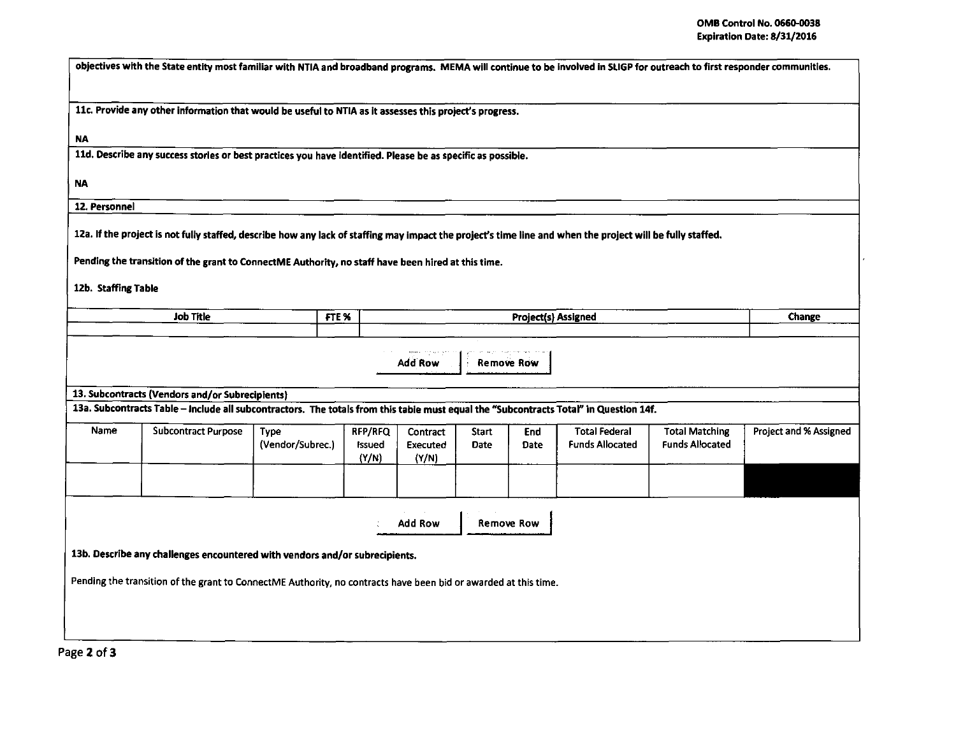| objectives with the State entity most familiar with NTIA and broadband programs. MEMA will continue to be involved in SLIGP for outreach to first responder communities.                                                                                         |                                                                                                                                       |                                 |                                   |                                      |                             |                     |                                                |                                                 |                               |  |  |  |  |
|------------------------------------------------------------------------------------------------------------------------------------------------------------------------------------------------------------------------------------------------------------------|---------------------------------------------------------------------------------------------------------------------------------------|---------------------------------|-----------------------------------|--------------------------------------|-----------------------------|---------------------|------------------------------------------------|-------------------------------------------------|-------------------------------|--|--|--|--|
|                                                                                                                                                                                                                                                                  |                                                                                                                                       |                                 |                                   |                                      |                             |                     |                                                |                                                 |                               |  |  |  |  |
| 11c. Provide any other information that would be useful to NTIA as it assesses this project's progress.                                                                                                                                                          |                                                                                                                                       |                                 |                                   |                                      |                             |                     |                                                |                                                 |                               |  |  |  |  |
| NA                                                                                                                                                                                                                                                               |                                                                                                                                       |                                 |                                   |                                      |                             |                     |                                                |                                                 |                               |  |  |  |  |
| 11d. Describe any success stories or best practices you have identified. Please be as specific as possible.                                                                                                                                                      |                                                                                                                                       |                                 |                                   |                                      |                             |                     |                                                |                                                 |                               |  |  |  |  |
| NA.                                                                                                                                                                                                                                                              |                                                                                                                                       |                                 |                                   |                                      |                             |                     |                                                |                                                 |                               |  |  |  |  |
| 12. Personnel                                                                                                                                                                                                                                                    |                                                                                                                                       |                                 |                                   |                                      |                             |                     |                                                |                                                 |                               |  |  |  |  |
| 12a. If the project is not fully staffed, describe how any lack of staffing may impact the project's time line and when the project will be fully staffed.<br>Pending the transition of the grant to ConnectME Authority, no staff have been hired at this time. |                                                                                                                                       |                                 |                                   |                                      |                             |                     |                                                |                                                 |                               |  |  |  |  |
| 12b. Staffing Table                                                                                                                                                                                                                                              |                                                                                                                                       |                                 |                                   |                                      |                             |                     |                                                |                                                 |                               |  |  |  |  |
| Job Title                                                                                                                                                                                                                                                        |                                                                                                                                       |                                 | FTE %                             |                                      |                             | Project(s) Assigned |                                                |                                                 | <b>Change</b>                 |  |  |  |  |
| <b>Remove Row</b><br>Add Row<br>13. Subcontracts (Vendors and/or Subrecipients)                                                                                                                                                                                  |                                                                                                                                       |                                 |                                   |                                      |                             |                     |                                                |                                                 |                               |  |  |  |  |
|                                                                                                                                                                                                                                                                  | 13a. Subcontracts Table - Include all subcontractors. The totals from this table must equal the "Subcontracts Total" in Question 14f. |                                 |                                   |                                      |                             |                     |                                                |                                                 |                               |  |  |  |  |
| Name                                                                                                                                                                                                                                                             | <b>Subcontract Purpose</b>                                                                                                            | <b>Type</b><br>(Vendor/Subrec.) | RFP/RFQ<br><b>Issued</b><br>(Y/N) | <b>Contract</b><br>Executed<br>(Y/N) | <b>Start</b><br><b>Date</b> | <b>End</b><br>Date  | <b>Total Federal</b><br><b>Funds Allocated</b> | <b>Total Matching</b><br><b>Funds Allocated</b> | <b>Project and % Assigned</b> |  |  |  |  |
| <b>Add Row</b><br>Remove Row<br>13b. Describe any challenges encountered with vendors and/or subrecipients.<br>Pending the transition of the grant to ConnectME Authority, no contracts have been bid or awarded at this time.                                   |                                                                                                                                       |                                 |                                   |                                      |                             |                     |                                                |                                                 |                               |  |  |  |  |
|                                                                                                                                                                                                                                                                  |                                                                                                                                       |                                 |                                   |                                      |                             |                     |                                                |                                                 |                               |  |  |  |  |